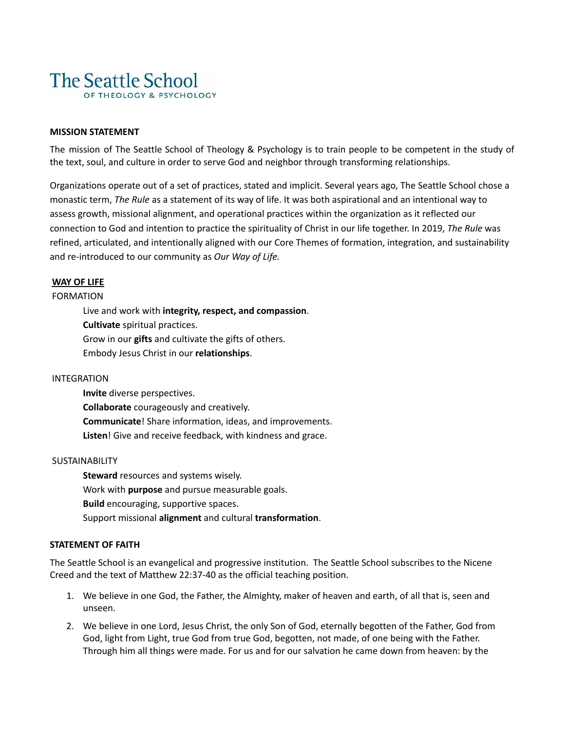

## **MISSION STATEMENT**

The mission of The Seattle School of Theology & Psychology is to train people to be competent in the study of the text, soul, and culture in order to serve God and neighbor through transforming relationships.

Organizations operate out of a set of practices, stated and implicit. Several years ago, The Seattle School chose a monastic term, *The Rule* as a statement of its way of life. It was both aspirational and an intentional way to assess growth, missional alignment, and operational practices within the organization as it reflected our connection to God and intention to practice the spirituality of Christ in our life together. In 2019, *The Rule* was refined, articulated, and intentionally aligned with our Core Themes of formation, integration, and sustainability and re-introduced to our community as *Our Way of Life.*

## **WAY OF LIFE**

FORMATION

Live and work with **integrity, respect, and compassion**. **Cultivate** spiritual practices. Grow in our **gifts** and cultivate the gifts of others. Embody Jesus Christ in our **relationships**.

## INTEGRATION

**Invite** diverse perspectives. **Collaborate** courageously and creatively. **Communicate**! Share information, ideas, and improvements. **Listen**! Give and receive feedback, with kindness and grace.

## SUSTAINABILITY

**Steward** resources and systems wisely. Work with **purpose** and pursue measurable goals. **Build** encouraging, supportive spaces. Support missional **alignment** and cultural **transformation**.

## **STATEMENT OF FAITH**

The Seattle School is an evangelical and progressive institution. The Seattle School subscribes to the Nicene Creed and the text of Matthew 22:37-40 as the official teaching position.

- 1. We believe in one God, the Father, the Almighty, maker of heaven and earth, of all that is, seen and unseen.
- 2. We believe in one Lord, Jesus Christ, the only Son of God, eternally begotten of the Father, God from God, light from Light, true God from true God, begotten, not made, of one being with the Father. Through him all things were made. For us and for our salvation he came down from heaven: by the